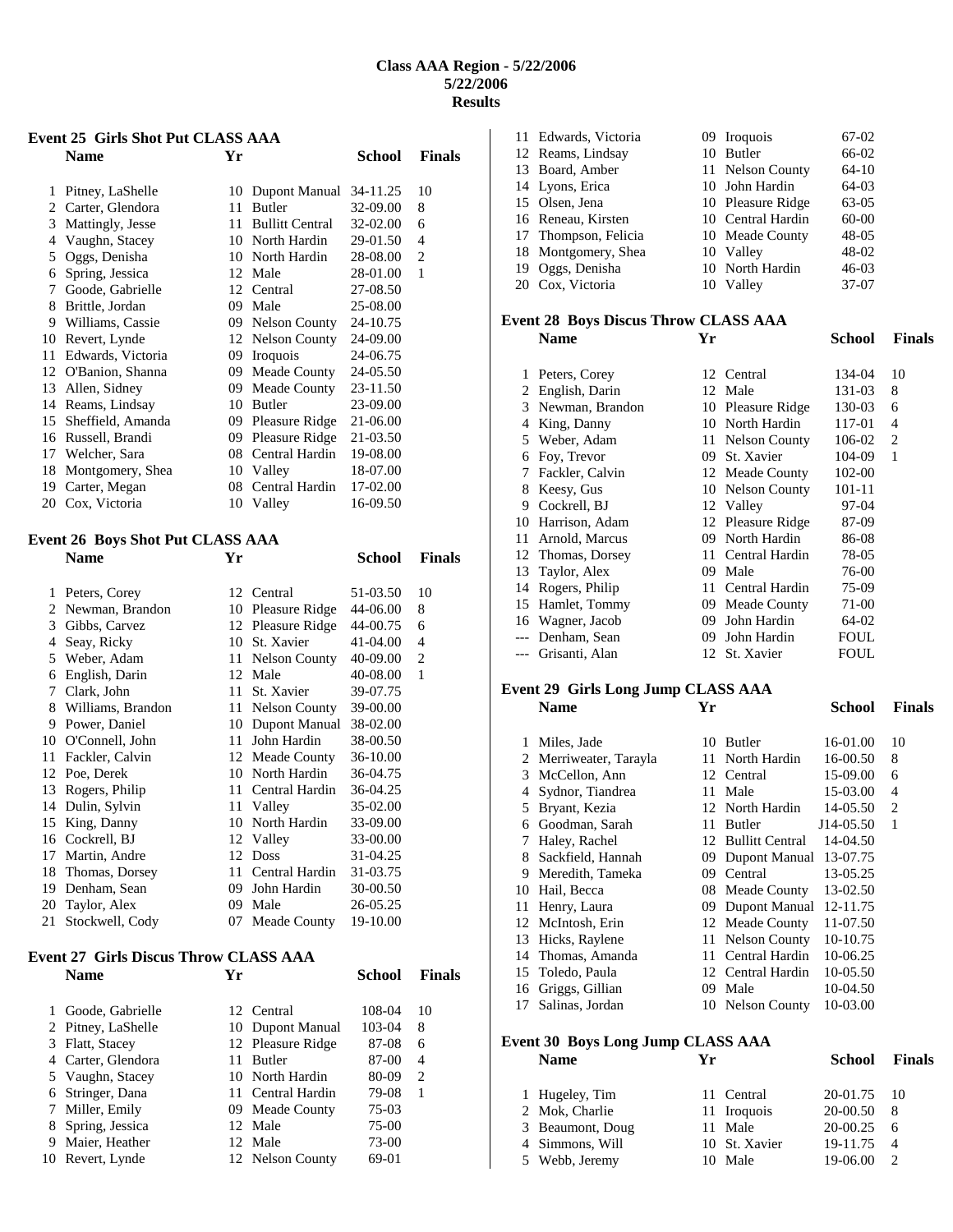### **Class AAA Region - 5/22/2006 5/22/2006 Results**

### **Event 25 Girls Shot Put CLASS AAA Name Yr School Finals**

| 1  | Pitney, LaShelle  | 10 | Dupont Manual                 | 34-11.25 | 10             |
|----|-------------------|----|-------------------------------|----------|----------------|
| 2. | Carter, Glendora  | 11 | <b>Butler</b>                 | 32-09.00 | 8              |
| 3  | Mattingly, Jesse  | 11 | <b>Bullitt Central</b>        | 32-02.00 | 6              |
| 4  | Vaughn, Stacey    | 10 | North Hardin                  | 29-01.50 | 4              |
| 5  | Oggs, Denisha     | 10 | North Hardin                  | 28-08.00 | $\overline{c}$ |
| 6  | Spring, Jessica   | 12 | Male                          | 28-01.00 | $\mathbf{1}$   |
| 7  | Goode, Gabrielle  | 12 | Central                       | 27-08.50 |                |
| 8  | Brittle, Jordan   | 09 | Male                          | 25-08.00 |                |
| 9  | Williams, Cassie  | 09 | <b>Nelson County</b>          | 24-10.75 |                |
| 10 | Revert, Lynde     | 12 | Nelson County                 | 24-09.00 |                |
| 11 | Edwards, Victoria | 09 | <i><u><b>Iroquois</b></u></i> | 24-06.75 |                |
| 12 | O'Banion, Shanna  | 09 | Meade County                  | 24-05.50 |                |
| 13 | Allen, Sidney     | 09 | Meade County                  | 23-11.50 |                |
| 14 | Reams, Lindsay    | 10 | <b>Butler</b>                 | 23-09.00 |                |
| 15 | Sheffield, Amanda | 09 | Pleasure Ridge                | 21-06.00 |                |
| 16 | Russell, Brandi   | 09 | Pleasure Ridge                | 21-03.50 |                |
| 17 | Welcher, Sara     | 08 | Central Hardin                | 19-08.00 |                |
| 18 | Montgomery, Shea  | 10 | Valley                        | 18-07.00 |                |
| 19 | Carter, Megan     | 08 | Central Hardin                | 17-02.00 |                |
| 20 | Cox, Victoria     | 10 | Valley                        | 16-09.50 |                |
|    |                   |    |                               |          |                |

### **Event 26 Boys Shot Put CLASS AAA Name Yr School Finals**

| 1              | Peters, Corey     |    | 12 Central        | 51-03.50 | 10             |
|----------------|-------------------|----|-------------------|----------|----------------|
| $\mathfrak{D}$ | Newman, Brandon   | 10 | Pleasure Ridge    | 44-06.00 | 8              |
| 3              | Gibbs, Carvez     |    | 12 Pleasure Ridge | 44-00.75 | 6              |
| 4              | Seav, Ricky       | 10 | St. Xavier        | 41-04.00 | 4              |
| 5              | Weber, Adam       | 11 | Nelson County     | 40-09.00 | $\overline{2}$ |
| 6              | English, Darin    |    | 12 Male           | 40-08.00 | $\mathbf{1}$   |
| 7              | Clark, John       | 11 | St. Xavier        | 39-07.75 |                |
| 8              | Williams, Brandon | 11 | Nelson County     | 39-00.00 |                |
| 9              | Power, Daniel     | 10 | Dupont Manual     | 38-02.00 |                |
| 10             | O'Connell, John   | 11 | John Hardin       | 38-00.50 |                |
| 11             | Fackler, Calvin   | 12 | Meade County      | 36-10.00 |                |
| 12             | Poe, Derek        | 10 | North Hardin      | 36-04.75 |                |
| 13             | Rogers, Philip    | 11 | Central Hardin    | 36-04.25 |                |
| 14             | Dulin, Sylvin     | 11 | Valley            | 35-02.00 |                |
| 15             | King, Danny       | 10 | North Hardin      | 33-09.00 |                |
| 16             | Cockrell, BJ      | 12 | Valley            | 33-00.00 |                |
| 17             | Martin, Andre     | 12 | <b>Doss</b>       | 31-04.25 |                |
| 18             | Thomas, Dorsey    | 11 | Central Hardin    | 31-03.75 |                |
| 19             | Denham, Sean      | 09 | John Hardin       | 30-00.50 |                |
| 20             | Taylor, Alex      | 09 | Male              | 26-05.25 |                |
| 21             | Stockwell, Cody   | 07 | Meade County      | 19-10.00 |                |
|                |                   |    |                   |          |                |

# **Event 27 Girls Discus Throw CLASS AAA**

|    | Goode, Gabrielle   |    | 12 Central        | 108-04 | 10 |
|----|--------------------|----|-------------------|--------|----|
|    | 2 Pitney, LaShelle |    | 10 Dupont Manual  | 103-04 | 8  |
|    | 3 Flatt, Stacey    |    | 12 Pleasure Ridge | 87-08  | 6  |
|    | 4 Carter, Glendora | 11 | <b>Butler</b>     | 87-00  | 4  |
|    | 5 Vaughn, Stacey   |    | 10 North Hardin   | 80-09  | 2  |
|    | 6 Stringer, Dana   |    | 11 Central Hardin | 79-08  | 1  |
|    | 7 Miller, Emily    |    | 09 Meade County   | 75-03  |    |
| 8  | Spring, Jessica    |    | 12 Male           | 75-00  |    |
| 9  | Maier, Heather     |    | 12 Male           | 73-00  |    |
| 10 | Revert, Lynde      |    | 12 Nelson County  | 69-01  |    |
|    |                    |    |                   |        |    |

**School Finals** 

| 11 Edwards, Victoria | 09 Iroquois       | 67-02     |
|----------------------|-------------------|-----------|
| 12 Reams, Lindsay    | 10 Butler         | 66-02     |
| 13 Board, Amber      | 11 Nelson County  | $64-10$   |
| 14 Lyons, Erica      | 10 John Hardin    | 64-03     |
| 15 Olsen, Jena       | 10 Pleasure Ridge | 63-05     |
| 16 Reneau, Kirsten   | 10 Central Hardin | $60 - 00$ |
| 17 Thompson, Felicia | 10 Meade County   | $48 - 05$ |
| 18 Montgomery, Shea  | 10 Valley         | 48-02     |
| 19 Oggs, Denisha     | 10 North Hardin   | $46-03$   |
| 20 Cox, Victoria     | 10 Valley         | 37-07     |

### **Event 28 Boys Discus Throw CLASS AAA**

| 1     | Peters, Corey   |    | 12 Central        | 134-04      | 10 |
|-------|-----------------|----|-------------------|-------------|----|
| 2     | English, Darin  |    | 12 Male           | 131-03      | 8  |
| 3     | Newman, Brandon | 10 | Pleasure Ridge    | 130-03      | 6  |
| 4     | King, Danny     | 10 | North Hardin      | 117-01      | 4  |
| 5     | Weber, Adam     |    | 11 Nelson County  | 106-02      | 2  |
| 6     | Foy, Trevor     | 09 | St. Xavier        | 104-09      | 1  |
| 7     | Fackler, Calvin |    | 12 Meade County   | 102-00      |    |
| 8     | Keesy, Gus      |    | 10 Nelson County  | $101 - 11$  |    |
| 9     | Cockrell, BJ    |    | 12 Valley         | $97-04$     |    |
| 10    | Harrison, Adam  |    | 12 Pleasure Ridge | 87-09       |    |
| 11    | Arnold, Marcus  | 09 | North Hardin      | 86-08       |    |
| 12    | Thomas, Dorsey  | 11 | Central Hardin    | 78-05       |    |
| 13    | Taylor, Alex    | 09 | Male              | 76-00       |    |
| 14    | Rogers, Philip  | 11 | Central Hardin    | 75-09       |    |
| 15    | Hamlet, Tommy   | 09 | Meade County      | 71-00       |    |
| 16    | Wagner, Jacob   | 09 | John Hardin       | 64-02       |    |
| $---$ | Denham, Sean    | 09 | John Hardin       | <b>FOUL</b> |    |
| $---$ | Grisanti, Alan  |    | 12 St. Xavier     | FOUL        |    |

**Name Yr School Finals** 

### **Event 29 Girls Long Jump CLASS AAA**

|    | Name                 | Yr |                        | School    | <b>Finals</b> |
|----|----------------------|----|------------------------|-----------|---------------|
| 1  | Miles, Jade          | 10 | <b>Butler</b>          | 16-01.00  | 10            |
| 2  | Merriweater, Tarayla | 11 | North Hardin           | 16-00.50  | 8             |
| 3  | McCellon, Ann        | 12 | Central                | 15-09.00  | 6             |
| 4  | Sydnor, Tiandrea     | 11 | Male                   | 15-03.00  | 4             |
| 5  | Bryant, Kezia        |    | 12 North Hardin        | 14-05.50  | 2             |
| 6  | Goodman, Sarah       | 11 | Butler                 | J14-05.50 | 1             |
| 7  | Haley, Rachel        | 12 | <b>Bullitt Central</b> | 14-04.50  |               |
| 8  | Sackfield, Hannah    | 09 | Dupont Manual          | 13-07.75  |               |
| 9  | Meredith, Tameka     | 09 | Central                | 13-05.25  |               |
| 10 | Hail, Becca          |    | 08 Meade County        | 13-02.50  |               |
| 11 | Henry, Laura         | 09 | Dupont Manual          | 12-11.75  |               |
|    | 12 McIntosh, Erin    |    | 12 Meade County        | 11-07.50  |               |
| 13 | Hicks, Raylene       | 11 | <b>Nelson County</b>   | 10-10.75  |               |
| 14 | Thomas, Amanda       | 11 | Central Hardin         | 10-06.25  |               |
| 15 | Toledo, Paula        | 12 | Central Hardin         | 10-05.50  |               |
| 16 | Griggs, Gillian      | 09 | Male                   | 10-04.50  |               |
| 17 | Salinas, Jordan      |    | 10 Nelson County       | 10-03.00  |               |

# **Event 30 Boys Long Jump CLASS AAA**

| <b>Name</b>      | Yг            | School      | <b>Finals</b> |
|------------------|---------------|-------------|---------------|
| 1 Hugeley, Tim   | 11 Central    | 20-01.75 10 |               |
| 2 Mok, Charlie   | 11 Iroquois   | 20-00.50    | 8             |
| 3 Beaumont, Doug | 11 Male       | 20-00.25    | - 6           |
| 4 Simmons, Will  | 10 St. Xavier | 19-11.75 4  |               |
| 5 Webb, Jeremy   | 10 Male       | 19-06.00    |               |
|                  |               |             |               |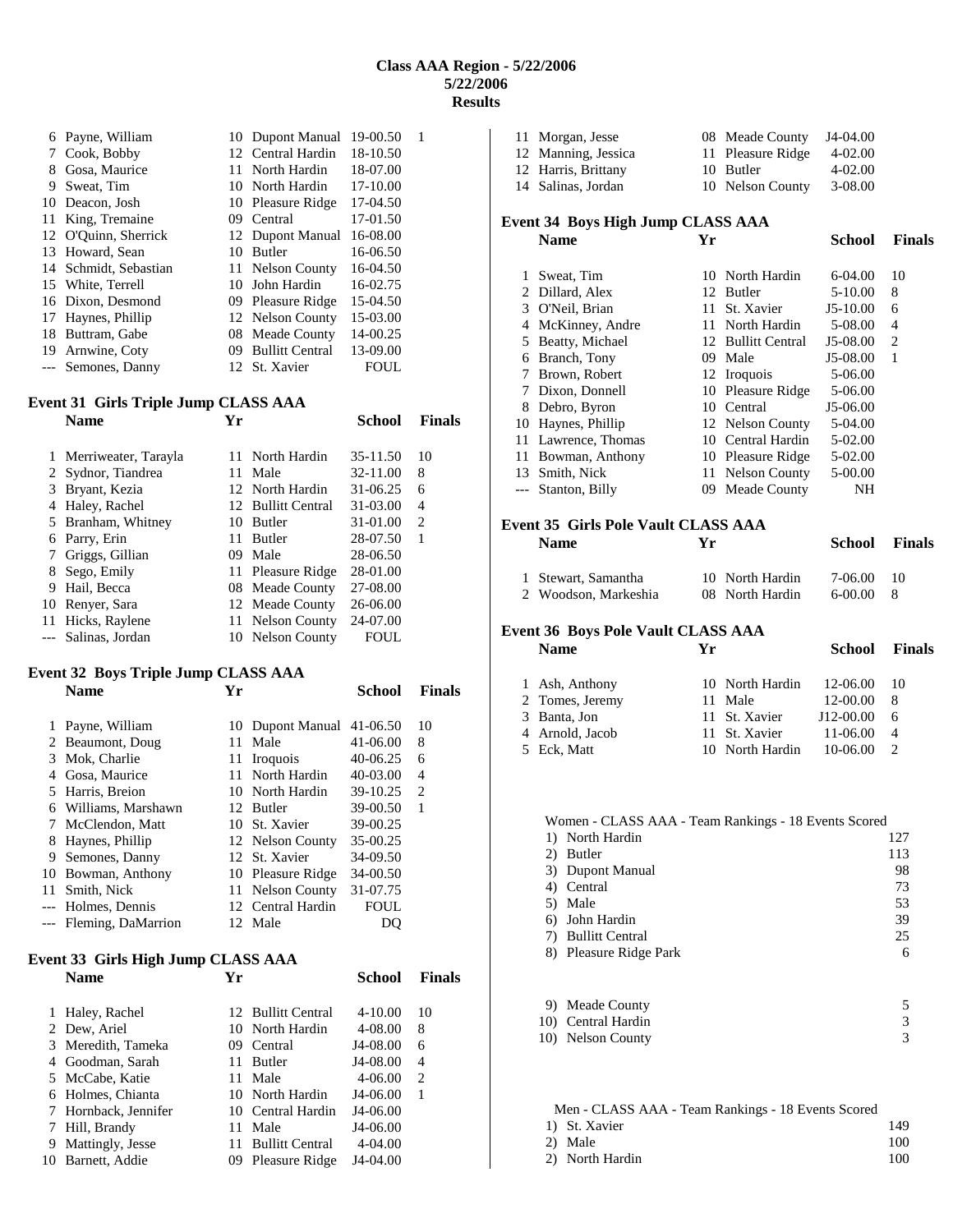### **Class AAA Region - 5/22/2006 5/22/2006 Results**

| 6  | Payne, William       |         | 10 Dupont Manual       | 19-00.50 |  |
|----|----------------------|---------|------------------------|----------|--|
| 7  | Cook, Bobby          | $12-12$ | Central Hardin         | 18-10.50 |  |
| 8  | Gosa, Maurice        | 11.     | North Hardin           | 18-07.00 |  |
| 9  | Sweat, Tim           |         | 10 North Hardin        | 17-10.00 |  |
| 10 | Deacon, Josh         |         | 10 Pleasure Ridge      | 17-04.50 |  |
| 11 | King, Tremaine       | 09.     | Central                | 17-01.50 |  |
|    | 12 O'Ouinn, Sherrick |         | 12 Dupont Manual       | 16-08.00 |  |
| 13 | Howard, Sean         | 10      | <b>Butler</b>          | 16-06.50 |  |
| 14 | Schmidt, Sebastian   |         | 11 Nelson County       | 16-04.50 |  |
|    | 15 White, Terrell    | 10      | John Hardin            | 16-02.75 |  |
|    | 16 Dixon, Desmond    |         | 09 Pleasure Ridge      | 15-04.50 |  |
| 17 | Haynes, Phillip      |         | 12 Nelson County       | 15-03.00 |  |
| 18 | Buttram, Gabe        | 08      | Meade County           | 14-00.25 |  |
| 19 | Arnwine, Coty        | 09      | <b>Bullitt Central</b> | 13-09.00 |  |
|    | --- Semones, Danny   |         | 12 St. Xavier          | FOUL     |  |

# **Event 31 Girls Triple Jump CLASS AAA**

|    | vent 31   GIFIS   FIPIE JUMP CLASS AAA |     |                    |          |               |
|----|----------------------------------------|-----|--------------------|----------|---------------|
|    | <b>Name</b>                            | Үr  |                    | School   | <b>Finals</b> |
| 1  | Merriweater, Tarayla                   | 11. | North Hardin       | 35-11.50 | 10            |
|    | 2 Sydnor, Tiandrea                     | 11  | Male               | 32-11.00 | 8             |
| 3  | Bryant, Kezia                          |     | 12 North Hardin    | 31-06.25 | 6             |
| 4  | Haley, Rachel                          |     | 12 Bullitt Central | 31-03.00 | 4             |
| 5. | Branham, Whitney                       | 10  | Butler             | 31-01.00 | 2             |
| 6  | Parry, Erin                            | 11  | <b>Butler</b>      | 28-07.50 | 1             |
|    | Griggs, Gillian                        | 09  | Male               | 28-06.50 |               |
| 8  | Sego, Emily                            |     | 11 Pleasure Ridge  | 28-01.00 |               |
| 9  | Hail, Becca                            |     | 08 Meade County    | 27-08.00 |               |
| 10 | Renver, Sara                           |     | 12 Meade County    | 26-06.00 |               |
| 11 | Hicks, Raylene                         |     | 11 Nelson County   | 24-07.00 |               |
|    | Salinas, Jordan                        |     | 10 Nelson County   | FOUL     |               |
|    |                                        |     |                    |          |               |

### **Event 32 Boys Triple Jump CLASS AAA Name Yr School Finals**

|    | Payne, William         |    | 10 Dupont Manual              | 41-06.50 | 10 |
|----|------------------------|----|-------------------------------|----------|----|
|    | 2 Beaumont, Doug       | 11 | Male                          | 41-06.00 | 8  |
| 3. | Mok, Charlie           | 11 | <i><u><b>Iroquois</b></u></i> | 40-06.25 | 6  |
|    | Gosa, Maurice          | 11 | North Hardin                  | 40-03.00 | 4  |
|    | 5 Harris, Breion       |    | 10 North Hardin               | 39-10.25 | 2  |
| 6  | Williams, Marshawn     |    | 12 Butler                     | 39-00.50 | 1  |
|    | McClendon, Matt        |    | 10 St. Xavier                 | 39-00.25 |    |
| 8  | Haynes, Phillip        |    | 12 Nelson County              | 35-00.25 |    |
| 9  | Semones, Danny         |    | 12 St. Xavier                 | 34-09.50 |    |
|    | 10 Bowman, Anthony     |    | 10 Pleasure Ridge             | 34-00.50 |    |
|    | Smith, Nick            |    | 11 Nelson County              | 31-07.75 |    |
|    | --- Holmes, Dennis     |    | 12 Central Hardin             | FOUL     |    |
|    | --- Fleming, DaMarrion |    | 12 Male                       |          |    |

### **Event 33 Girls High Jump CLASS AAA Name Yr School Finals**

| $4 - 10.00$<br>Haley, Rachel<br>12 Bullitt Central<br>1.<br>2 Dew, Ariel<br>4-08.00<br>10 North Hardin<br>8<br>J4-08.00<br>3 Meredith, Tameka<br>Central<br>09<br>J4-08.00<br>4 Goodman, Sarah<br><b>Butler</b><br>4<br>11<br>5 McCabe, Katie<br>4-06.00<br>Male<br>11<br>6 Holmes, Chianta<br>J4-06.00<br>10 North Hardin<br>7 Hornback, Jennifer<br>J4-06.00<br>10 Central Hardin<br>Hill, Brandy<br>J4-06.00<br>Male<br>11<br>7<br>Mattingly, Jesse<br><b>Bullitt Central</b><br>$4 - 04.00$<br>9<br>11 |    |                |    |          |    |
|------------------------------------------------------------------------------------------------------------------------------------------------------------------------------------------------------------------------------------------------------------------------------------------------------------------------------------------------------------------------------------------------------------------------------------------------------------------------------------------------------------|----|----------------|----|----------|----|
|                                                                                                                                                                                                                                                                                                                                                                                                                                                                                                            |    |                |    |          | 10 |
|                                                                                                                                                                                                                                                                                                                                                                                                                                                                                                            |    |                |    |          |    |
|                                                                                                                                                                                                                                                                                                                                                                                                                                                                                                            |    |                |    |          | 6  |
|                                                                                                                                                                                                                                                                                                                                                                                                                                                                                                            |    |                |    |          |    |
|                                                                                                                                                                                                                                                                                                                                                                                                                                                                                                            |    |                |    |          | 2  |
|                                                                                                                                                                                                                                                                                                                                                                                                                                                                                                            |    |                |    |          |    |
|                                                                                                                                                                                                                                                                                                                                                                                                                                                                                                            |    |                |    |          |    |
|                                                                                                                                                                                                                                                                                                                                                                                                                                                                                                            |    |                |    |          |    |
|                                                                                                                                                                                                                                                                                                                                                                                                                                                                                                            |    |                |    |          |    |
| Pleasure Ridge                                                                                                                                                                                                                                                                                                                                                                                                                                                                                             | 10 | Barnett, Addie | 09 | J4-04.00 |    |

|                                                                                      | J4-04.00                                                              |
|--------------------------------------------------------------------------------------|-----------------------------------------------------------------------|
|                                                                                      | 4-02.00                                                               |
|                                                                                      | $4 - 02.00$                                                           |
|                                                                                      | 3-08.00                                                               |
| 11 Morgan, Jesse<br>12 Manning, Jessica<br>12 Harris, Brittany<br>14 Salinas, Jordan | 08 Meade County<br>11 Pleasure Ridge<br>10 Butler<br>10 Nelson County |

### **Event 34 Boys High Jump CLASS AAA Name Yr School Finals**

| 1  | Sweat, Tim          |    | 10 North Hardin    | $6-04.00$  | 10             |
|----|---------------------|----|--------------------|------------|----------------|
| 2  | Dillard, Alex       |    | 12 Butler          | 5-10.00    | 8              |
| 3  | O'Neil, Brian       | 11 | St. Xavier         | $J5-10.00$ | 6              |
|    | McKinney, Andre     | 11 | North Hardin       | 5-08.00    | $\overline{4}$ |
| 5. | Beatty, Michael     |    | 12 Bullitt Central | $J5-08.00$ | 2              |
| 6  | Branch, Tony        | 09 | Male               | J5-08.00   | 1              |
| 7  | Brown, Robert       |    | 12 Iroquois        | 5-06.00    |                |
|    | 7 Dixon, Donnell    |    | 10 Pleasure Ridge  | 5-06.00    |                |
| 8  | Debro, Byron        |    | 10 Central         | J5-06.00   |                |
|    | 10 Haynes, Phillip  |    | 12 Nelson County   | 5-04.00    |                |
|    | 11 Lawrence, Thomas |    | 10 Central Hardin  | 5-02.00    |                |
|    | 11 Bowman, Anthony  |    | 10 Pleasure Ridge  | 5-02.00    |                |
| 13 | Smith, Nick         |    | 11 Nelson County   | 5-00.00    |                |
|    | --- Stanton, Billy  | 09 | Meade County       | NΗ         |                |

## **Event 35 Girls Pole Vault CLASS AAA**

| <b>Name</b>          | Vг              | School    | <b>Finals</b> |
|----------------------|-----------------|-----------|---------------|
| 1 Stewart, Samantha  | 10 North Hardin | 7-06.00   | 10            |
| 2 Woodson, Markeshia | 08 North Hardin | $6-00.00$ |               |

#### **Event 36 Boys Pole Vault CLASS AAA Name Yr School Finals**

| .               |                            | .                    |                |
|-----------------|----------------------------|----------------------|----------------|
| 1 Ash, Anthony  | 10 North Hardin<br>11 Male | 12-06.00<br>12-00.00 | 10<br>8        |
| 2 Tomes, Jeremy |                            |                      |                |
| 3 Banta, Jon    | 11 St. Xavier              | $J12-00.00$          | 6              |
| 4 Arnold, Jacob | 11 St. Xavier              | 11-06.00             | $\overline{4}$ |
| 5 Eck. Matt     | 10 North Hardin            | 10-06.00             | $\mathcal{L}$  |

### Women - CLASS AAA - Team Rankings - 18 Events Scored

|    | 1) North Hardin        | 127 |
|----|------------------------|-----|
| 2) | Butler                 | 113 |
|    | 3) Dupont Manual       | 98  |
|    | 4) Central             | 73  |
|    | 5) Male                | 53  |
|    | 6) John Hardin         | 39  |
|    | 7) Bullitt Central     | 25  |
|    | 8) Pleasure Ridge Park | 6   |
|    |                        |     |

| 9) Meade County    |  |
|--------------------|--|
| 10) Central Hardin |  |
| 10) Nelson County  |  |

| Men - CLASS AAA - Team Rankings - 18 Events Scored |                 |     |
|----------------------------------------------------|-----------------|-----|
|                                                    | 1) St. Xavier   | 149 |
|                                                    | 2) Male         | 100 |
|                                                    | 2) North Hardin | 100 |